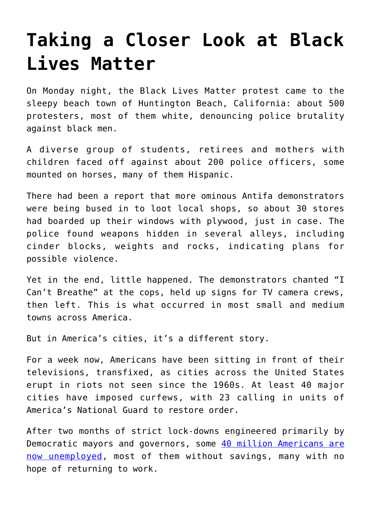## **[Taking a Closer Look at Black](https://intellectualtakeout.org/2020/06/taking-a-closer-look-at-black-lives-matter/) [Lives Matter](https://intellectualtakeout.org/2020/06/taking-a-closer-look-at-black-lives-matter/)**

On Monday night, the Black Lives Matter protest came to the sleepy beach town of Huntington Beach, California: about 500 protesters, most of them white, denouncing police brutality against black men.

A diverse group of students, retirees and mothers with children faced off against about 200 police officers, some mounted on horses, many of them Hispanic.

There had been a report that more ominous Antifa demonstrators were being bused in to loot local shops, so about 30 stores had boarded up their windows with plywood, just in case. The police found weapons hidden in several alleys, including cinder blocks, weights and rocks, indicating plans for possible violence.

Yet in the end, little happened. The demonstrators chanted "I Can't Breathe" at the cops, held up signs for TV camera crews, then left. This is what occurred in most small and medium towns across America.

But in America's cities, it's a different story.

For a week now, Americans have been sitting in front of their televisions, transfixed, as cities across the United States erupt in riots not seen since the 1960s. At least 40 major cities have imposed curfews, with 23 calling in units of America's National Guard to restore order.

After two months of strict lock-downs engineered primarily by Democratic mayors and governors, some [40 million Americans are](https://fortune.com/2020/05/28/us-unemployment-rate-numbers-claims-this-week-total-job-losses-may-28-2020-benefits-claims-job-losses/) [now unemployed](https://fortune.com/2020/05/28/us-unemployment-rate-numbers-claims-this-week-total-job-losses-may-28-2020-benefits-claims-job-losses/), most of them without savings, many with no hope of returning to work.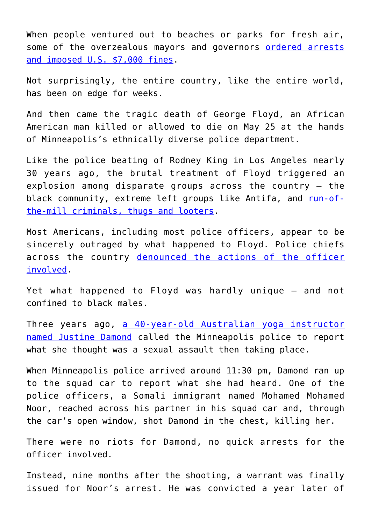When people ventured out to beaches or parks for fresh air, some of the overzealous mayors and governors [ordered arrests](https://www.star-telegram.com/news/politics-government/article242540886.html) [and imposed U.S. \\$7,000 fines](https://www.star-telegram.com/news/politics-government/article242540886.html).

Not surprisingly, the entire country, like the entire world, has been on edge for weeks.

And then came the tragic death of George Floyd, an African American man killed or allowed to die on May 25 at the hands of Minneapolis's ethnically diverse police department.

Like the police beating of Rodney King in Los Angeles nearly 30 years ago, the brutal treatment of Floyd triggered an explosion among disparate groups across the country – the black community, extreme left groups like Antifa, and [run-of](https://twitter.com/PatrolRpd/status/1267202275895803904)[the-mill criminals, thugs and looters](https://twitter.com/PatrolRpd/status/1267202275895803904).

Most Americans, including most police officers, appear to be sincerely outraged by what happened to Floyd. Police chiefs across the country [denounced the actions of the officer](https://www.nbcnews.com/news/us-news/several-police-heads-across-nation-condemn-force-used-floyd-death-n1217451) [involved.](https://www.nbcnews.com/news/us-news/several-police-heads-across-nation-condemn-force-used-floyd-death-n1217451)

Yet what happened to Floyd was hardly unique – and not confined to black males.

Three years ago, [a 40-year-old Australian yoga instructor](https://www.news.com.au/world/north-america/justine-damonds-family-say-police-in-minneapolis-didnt-make-adequate-changes/news-story/74e55c406b33e4d8abd8912c78363105) [named Justine Damond](https://www.news.com.au/world/north-america/justine-damonds-family-say-police-in-minneapolis-didnt-make-adequate-changes/news-story/74e55c406b33e4d8abd8912c78363105) called the Minneapolis police to report what she thought was a sexual assault then taking place.

When Minneapolis police arrived around 11:30 pm, Damond ran up to the squad car to report what she had heard. One of the police officers, a Somali immigrant named Mohamed Mohamed Noor, reached across his partner in his squad car and, through the car's open window, shot Damond in the chest, killing her.

There were no riots for Damond, no quick arrests for the officer involved.

Instead, nine months after the shooting, a warrant was finally issued for Noor's arrest. He was convicted a year later of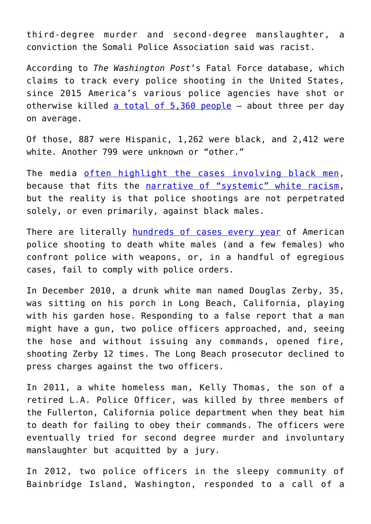third-degree murder and second-degree manslaughter, a conviction the Somali Police Association said was racist.

According to *The Washington Post*'s Fatal Force database, which claims to track every police shooting in the United States, since 2015 America's various police agencies have shot or otherwise killed [a total of 5,360 people](https://www.washingtonpost.com/graphics/investigations/police-shootings-database/) – about three per day on average.

Of those, 887 were Hispanic, 1,262 were black, and 2,412 were white. Another 799 were unknown or "other."

The media [often highlight the cases involving black men,](https://www.cbc.ca/news/world/list-police-related-deaths-usa-1.4438618) because that fits the [narrative of "systemic" white racism,](https://www.usatoday.com/story/news/nation-now/2018/03/29/police-killings-black-men-us-and-what-happened-officers/469467002/) but the reality is that police shootings are not perpetrated solely, or even primarily, against black males.

There are literally [hundreds of cases every year](https://www.theguardian.com/us-news/ng-interactive/2015/jun/01/the-counted-police-killings-us-database) of American police shooting to death white males (and a few females) who confront police with weapons, or, in a handful of egregious cases, fail to comply with police orders.

In December 2010, a drunk white man named Douglas Zerby, 35, was sitting on his porch in Long Beach, California, playing with his garden hose. Responding to a false report that a man might have a gun, two police officers approached, and, seeing the hose and without issuing any commands, opened fire, shooting Zerby 12 times. The Long Beach prosecutor declined to press charges against the two officers.

In 2011, a white homeless man, Kelly Thomas, the son of a retired L.A. Police Officer, was killed by three members of the Fullerton, California police department when they beat him to death for failing to obey their commands. The officers were eventually tried for second degree murder and involuntary manslaughter but acquitted by a jury.

In 2012, two police officers in the sleepy community of Bainbridge Island, Washington, responded to a call of a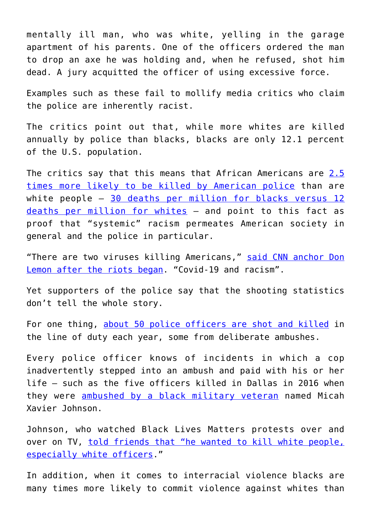mentally ill man, who was white, yelling in the garage apartment of his parents. One of the officers ordered the man to drop an axe he was holding and, when he refused, shot him dead. A jury acquitted the officer of using excessive force.

Examples such as these fail to mollify media critics who claim the police are inherently racist.

The critics point out that, while more whites are killed annually by police than blacks, blacks are only 12.1 percent of the U.S. population.

The critics say that this means that African Americans are [2.5](https://journalistsresource.org/studies/government/criminal-justice/killed-police-black-men-likely-white-men/) [times more likely to be killed by American police](https://journalistsresource.org/studies/government/criminal-justice/killed-police-black-men-likely-white-men/) than are white people – [30 deaths per million for blacks versus 12](https://www.washingtonpost.com/graphics/investigations/police-shootings-database/) [deaths per million for whites](https://www.washingtonpost.com/graphics/investigations/police-shootings-database/) — and point to this fact as proof that "systemic" racism permeates American society in general and the police in particular.

"There are two viruses killing Americans," [said CNN anchor Don](https://megaphone.upworthy.com/p/don-lemon-two-viruses-killing-americans) [Lemon after the riots began.](https://megaphone.upworthy.com/p/don-lemon-two-viruses-killing-americans) "Covid-19 and racism".

Yet supporters of the police say that the shooting statistics don't tell the whole story.

For one thing, [about 50 police officers are shot and killed](https://www.forbes.com/sites/niallmccarthy/2019/05/08/the-number-of-u-s-police-officers-killed-in-the-line-of-duty-increased-last-year-infographic/#3440c45e1189) in the line of duty each year, some from deliberate ambushes.

Every police officer knows of incidents in which a cop inadvertently stepped into an ambush and paid with his or her life – such as the five officers killed in Dallas in 2016 when they were [ambushed by a black military veteran](https://abcnews.go.com/US/dallas-shooting-suspect-wanted-kill-white-people-white/story?id=40431306) named Micah Xavier Johnson.

Johnson, who watched Black Lives Matters protests over and over on TV, [told friends that "he wanted to kill white people,](https://www.nbcnews.com/news/us-news/protests-spawn-cities-across-u-s-over-police-shootings-black-n605686) [especially white officers.](https://www.nbcnews.com/news/us-news/protests-spawn-cities-across-u-s-over-police-shootings-black-n605686)"

In addition, when it comes to interracial violence blacks are many times more likely to commit violence against whites than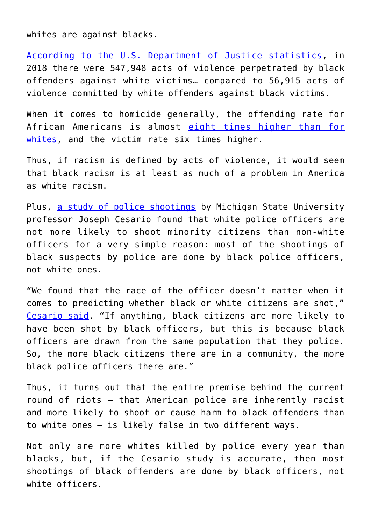whites are against blacks.

[According to the U.S. Department of Justice statistics](https://www.bjs.gov/content/pub/pdf/cv18.pdf), in 2018 there were 547,948 acts of violence perpetrated by black offenders against white victims… compared to 56,915 acts of violence committed by white offenders against black victims.

When it comes to homicide generally, the offending rate for African Americans is almost [eight times higher than for](https://www.bjs.gov/content/pub/pdf/htus8008.pdf) [whites](https://www.bjs.gov/content/pub/pdf/htus8008.pdf), and the victim rate six times higher.

Thus, if racism is defined by acts of violence, it would seem that black racism is at least as much of a problem in America as white racism.

Plus, [a study of police shootings](https://msutoday.msu.edu/news/2019/the-truth-behind-racial-disparities-in-fatal-police-shootings/) by Michigan State University professor Joseph Cesario found that white police officers are not more likely to shoot minority citizens than non-white officers for a very simple reason: most of the shootings of black suspects by police are done by black police officers, not white ones.

"We found that the race of the officer doesn't matter when it comes to predicting whether black or white citizens are shot," [Cesario said.](https://msutoday.msu.edu/news/2019/the-truth-behind-racial-disparities-in-fatal-police-shootings/) "If anything, black citizens are more likely to have been shot by black officers, but this is because black officers are drawn from the same population that they police. So, the more black citizens there are in a community, the more black police officers there are."

Thus, it turns out that the entire premise behind the current round of riots – that American police are inherently racist and more likely to shoot or cause harm to black offenders than to white ones – is likely false in two different ways.

Not only are more whites killed by police every year than blacks, but, if the Cesario study is accurate, then most shootings of black offenders are done by black officers, not white officers.